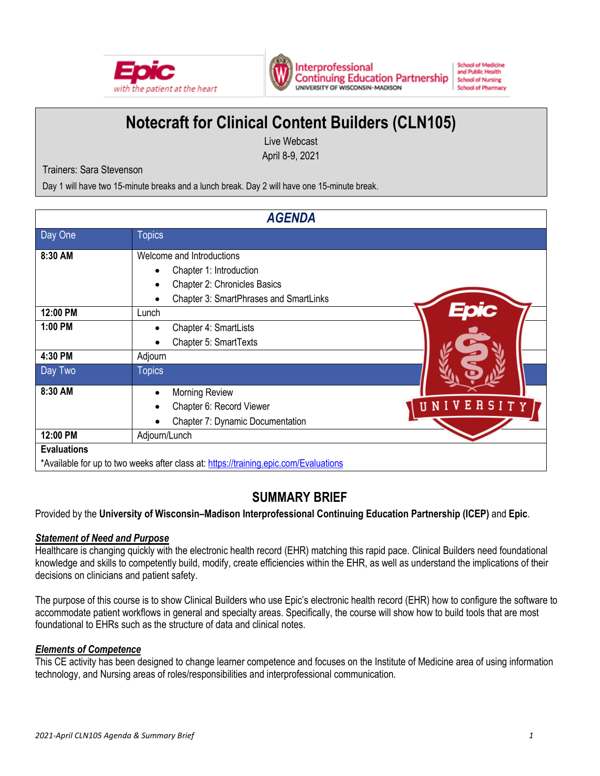



#### **School of Medicine** and Public Health **School of Nursing School of Pharmacy**

# **Notecraft for Clinical Content Builders (CLN105)**

Live Webcast April 8-9, 2021

Trainers: Sara Stevenson

Day 1 will have two 15-minute breaks and a lunch break. Day 2 will have one 15-minute break.

| <b>AGENDA</b>      |                                                                                                                                |                    |  |  |
|--------------------|--------------------------------------------------------------------------------------------------------------------------------|--------------------|--|--|
| Day One            | <b>Topics</b>                                                                                                                  |                    |  |  |
| 8:30 AM            | Welcome and Introductions<br>Chapter 1: Introduction<br>Chapter 2: Chronicles Basics<br>Chapter 3: SmartPhrases and SmartLinks |                    |  |  |
| 12:00 PM           | Lunch                                                                                                                          |                    |  |  |
| 1:00 PM            | Chapter 4: SmartLists<br>Chapter 5: SmartTexts                                                                                 |                    |  |  |
| 4:30 PM            | Adjourn                                                                                                                        |                    |  |  |
| Day Two<br>8:30 AM | <b>Topics</b><br>Morning Review<br>Chapter 6: Record Viewer<br>Chapter 7: Dynamic Documentation                                | ERSITY<br>UV<br>UΝ |  |  |
| 12:00 PM           | Adjourn/Lunch                                                                                                                  |                    |  |  |
| <b>Evaluations</b> | *Available for up to two weeks after class at: https://training.epic.com/Evaluations                                           |                    |  |  |

## **SUMMARY BRIEF**

Provided by the **University of Wisconsin–Madison Interprofessional Continuing Education Partnership (ICEP)** and **Epic**.

### *Statement of Need and Purpose*

Healthcare is changing quickly with the electronic health record (EHR) matching this rapid pace. Clinical Builders need foundational knowledge and skills to competently build, modify, create efficiencies within the EHR, as well as understand the implications of their decisions on clinicians and patient safety.

The purpose of this course is to show Clinical Builders who use Epic's electronic health record (EHR) how to configure the software to accommodate patient workflows in general and specialty areas. Specifically, the course will show how to build tools that are most foundational to EHRs such as the structure of data and clinical notes.

### *Elements of Competence*

This CE activity has been designed to change learner competence and focuses on the Institute of Medicine area of using information technology, and Nursing areas of roles/responsibilities and interprofessional communication.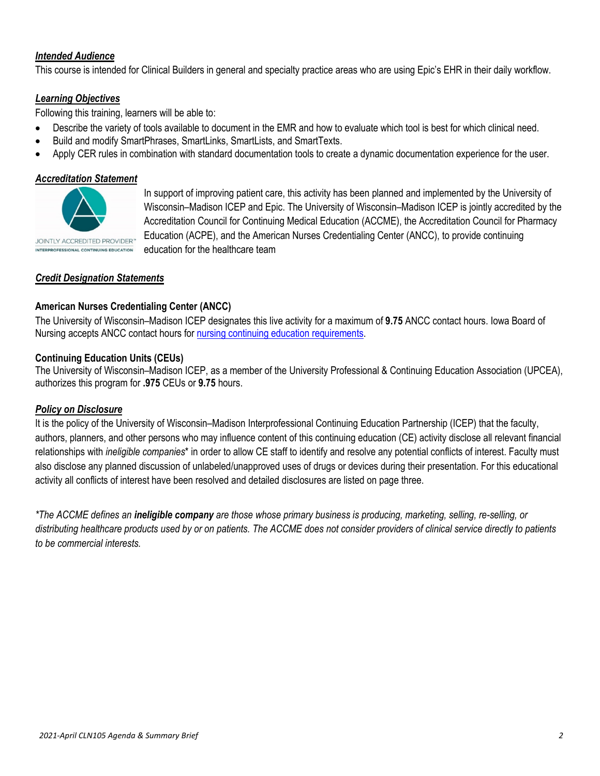### *Intended Audience*

This course is intended for Clinical Builders in general and specialty practice areas who are using Epic's EHR in their daily workflow.

#### *Learning Objectives*

Following this training, learners will be able to:

- Describe the variety of tools available to document in the EMR and how to evaluate which tool is best for which clinical need.
- Build and modify SmartPhrases, SmartLinks, SmartLists, and SmartTexts.
- Apply CER rules in combination with standard documentation tools to create a dynamic documentation experience for the user.

#### *Accreditation Statement*



In support of improving patient care, this activity has been planned and implemented by the University of Wisconsin–Madison ICEP and Epic. The University of Wisconsin–Madison ICEP is jointly accredited by the Accreditation Council for Continuing Medical Education (ACCME), the Accreditation Council for Pharmacy Education (ACPE), and the American Nurses Credentialing Center (ANCC), to provide continuing education for the healthcare team

### *Credit Designation Statements*

#### **American Nurses Credentialing Center (ANCC)**

The University of Wisconsin–Madison ICEP designates this live activity for a maximum of **9.75** ANCC contact hours. Iowa Board of Nursing accepts ANCC contact hours for [nursing continuing education requirements.](https://nursing.iowa.gov/continuing-education/continuing-ed-licensees/what-continuing-education-qualifies)

#### **Continuing Education Units (CEUs)**

The University of Wisconsin–Madison ICEP, as a member of the University Professional & Continuing Education Association (UPCEA), authorizes this program for **.975** CEUs or **9.75** hours.

#### *Policy on Disclosure*

It is the policy of the University of Wisconsin–Madison Interprofessional Continuing Education Partnership (ICEP) that the faculty, authors, planners, and other persons who may influence content of this continuing education (CE) activity disclose all relevant financial relationships with *ineligible companies*\* in order to allow CE staff to identify and resolve any potential conflicts of interest. Faculty must also disclose any planned discussion of unlabeled/unapproved uses of drugs or devices during their presentation. For this educational activity all conflicts of interest have been resolved and detailed disclosures are listed on page three.

*\*The ACCME defines an ineligible company are those whose primary business is producing, marketing, selling, re-selling, or distributing healthcare products used by or on patients. The ACCME does not consider providers of clinical service directly to patients to be commercial interests.*